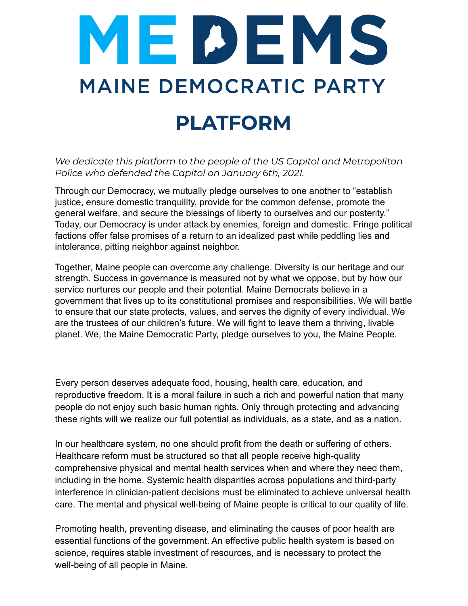

*We dedicate this platform to the people of the US Capitol and Metropolitan Police who defended the Capitol on January 6th, 2021.*

Through our Democracy, we mutually pledge ourselves to one another to "establish justice, ensure domestic tranquility, provide for the common defense, promote the general welfare, and secure the blessings of liberty to ourselves and our posterity." Today, our Democracy is under attack by enemies, foreign and domestic. Fringe political factions offer false promises of a return to an idealized past while peddling lies and intolerance, pitting neighbor against neighbor.

Together, Maine people can overcome any challenge. Diversity is our heritage and our strength. Success in governance is measured not by what we oppose, but by how our service nurtures our people and their potential. Maine Democrats believe in a government that lives up to its constitutional promises and responsibilities. We will battle to ensure that our state protects, values, and serves the dignity of every individual. We are the trustees of our children's future. We will fight to leave them a thriving, livable planet. We, the Maine Democratic Party, pledge ourselves to you, the Maine People.

Every person deserves adequate food, housing, health care, education, and reproductive freedom. It is a moral failure in such a rich and powerful nation that many people do not enjoy such basic human rights. Only through protecting and advancing these rights will we realize our full potential as individuals, as a state, and as a nation.

In our healthcare system, no one should profit from the death or suffering of others. Healthcare reform must be structured so that all people receive high-quality comprehensive physical and mental health services when and where they need them, including in the home. Systemic health disparities across populations and third-party interference in clinician-patient decisions must be eliminated to achieve universal health care. The mental and physical well-being of Maine people is critical to our quality of life.

Promoting health, preventing disease, and eliminating the causes of poor health are essential functions of the government. An effective public health system is based on science, requires stable investment of resources, and is necessary to protect the well-being of all people in Maine.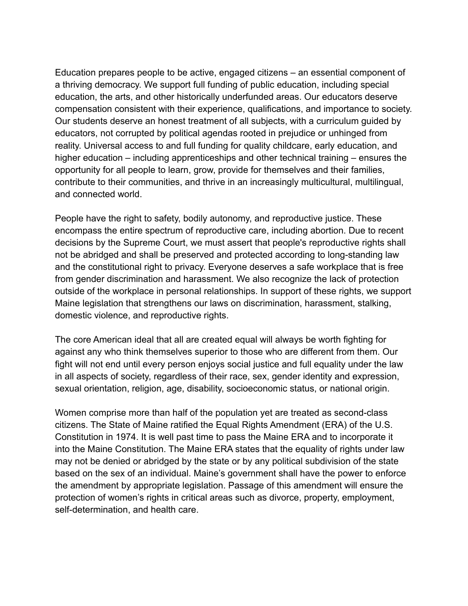Education prepares people to be active, engaged citizens – an essential component of a thriving democracy. We support full funding of public education, including special education, the arts, and other historically underfunded areas. Our educators deserve compensation consistent with their experience, qualifications, and importance to society. Our students deserve an honest treatment of all subjects, with a curriculum guided by educators, not corrupted by political agendas rooted in prejudice or unhinged from reality. Universal access to and full funding for quality childcare, early education, and higher education – including apprenticeships and other technical training – ensures the opportunity for all people to learn, grow, provide for themselves and their families, contribute to their communities, and thrive in an increasingly multicultural, multilingual, and connected world.

People have the right to safety, bodily autonomy, and reproductive justice. These encompass the entire spectrum of reproductive care, including abortion. Due to recent decisions by the Supreme Court, we must assert that people's reproductive rights shall not be abridged and shall be preserved and protected according to long-standing law and the constitutional right to privacy. Everyone deserves a safe workplace that is free from gender discrimination and harassment. We also recognize the lack of protection outside of the workplace in personal relationships. In support of these rights, we support Maine legislation that strengthens our laws on discrimination, harassment, stalking, domestic violence, and reproductive rights.

The core American ideal that all are created equal will always be worth fighting for against any who think themselves superior to those who are different from them. Our fight will not end until every person enjoys social justice and full equality under the law in all aspects of society, regardless of their race, sex, gender identity and expression, sexual orientation, religion, age, disability, socioeconomic status, or national origin.

Women comprise more than half of the population yet are treated as second-class citizens. The State of Maine ratified the Equal Rights Amendment (ERA) of the U.S. Constitution in 1974. It is well past time to pass the Maine ERA and to incorporate it into the Maine Constitution. The Maine ERA states that the equality of rights under law may not be denied or abridged by the state or by any political subdivision of the state based on the sex of an individual. Maine's government shall have the power to enforce the amendment by appropriate legislation. Passage of this amendment will ensure the protection of women's rights in critical areas such as divorce, property, employment, self-determination, and health care.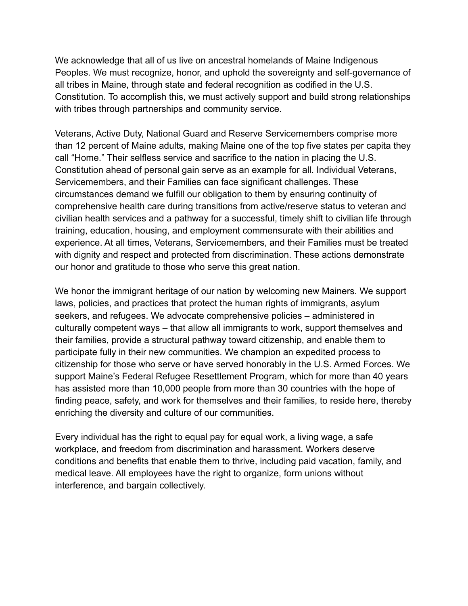We acknowledge that all of us live on ancestral homelands of Maine Indigenous Peoples. We must recognize, honor, and uphold the sovereignty and self-governance of all tribes in Maine, through state and federal recognition as codified in the U.S. Constitution. To accomplish this, we must actively support and build strong relationships with tribes through partnerships and community service.

Veterans, Active Duty, National Guard and Reserve Servicemembers comprise more than 12 percent of Maine adults, making Maine one of the top five states per capita they call "Home." Their selfless service and sacrifice to the nation in placing the U.S. Constitution ahead of personal gain serve as an example for all. Individual Veterans, Servicemembers, and their Families can face significant challenges. These circumstances demand we fulfill our obligation to them by ensuring continuity of comprehensive health care during transitions from active/reserve status to veteran and civilian health services and a pathway for a successful, timely shift to civilian life through training, education, housing, and employment commensurate with their abilities and experience. At all times, Veterans, Servicemembers, and their Families must be treated with dignity and respect and protected from discrimination. These actions demonstrate our honor and gratitude to those who serve this great nation.

We honor the immigrant heritage of our nation by welcoming new Mainers. We support laws, policies, and practices that protect the human rights of immigrants, asylum seekers, and refugees. We advocate comprehensive policies – administered in culturally competent ways – that allow all immigrants to work, support themselves and their families, provide a structural pathway toward citizenship, and enable them to participate fully in their new communities. We champion an expedited process to citizenship for those who serve or have served honorably in the U.S. Armed Forces. We support Maine's Federal Refugee Resettlement Program, which for more than 40 years has assisted more than 10,000 people from more than 30 countries with the hope of finding peace, safety, and work for themselves and their families, to reside here, thereby enriching the diversity and culture of our communities.

Every individual has the right to equal pay for equal work, a living wage, a safe workplace, and freedom from discrimination and harassment. Workers deserve conditions and benefits that enable them to thrive, including paid vacation, family, and medical leave. All employees have the right to organize, form unions without interference, and bargain collectively.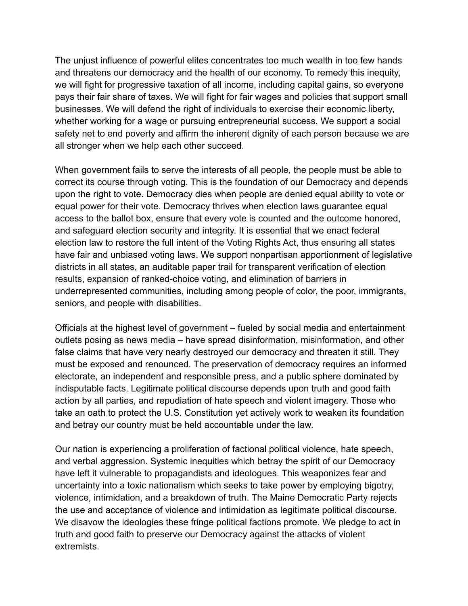The unjust influence of powerful elites concentrates too much wealth in too few hands and threatens our democracy and the health of our economy. To remedy this inequity, we will fight for progressive taxation of all income, including capital gains, so everyone pays their fair share of taxes. We will fight for fair wages and policies that support small businesses. We will defend the right of individuals to exercise their economic liberty, whether working for a wage or pursuing entrepreneurial success. We support a social safety net to end poverty and affirm the inherent dignity of each person because we are all stronger when we help each other succeed.

When government fails to serve the interests of all people, the people must be able to correct its course through voting. This is the foundation of our Democracy and depends upon the right to vote. Democracy dies when people are denied equal ability to vote or equal power for their vote. Democracy thrives when election laws guarantee equal access to the ballot box, ensure that every vote is counted and the outcome honored, and safeguard election security and integrity. It is essential that we enact federal election law to restore the full intent of the Voting Rights Act, thus ensuring all states have fair and unbiased voting laws. We support nonpartisan apportionment of legislative districts in all states, an auditable paper trail for transparent verification of election results, expansion of ranked-choice voting, and elimination of barriers in underrepresented communities, including among people of color, the poor, immigrants, seniors, and people with disabilities.

Officials at the highest level of government – fueled by social media and entertainment outlets posing as news media – have spread disinformation, misinformation, and other false claims that have very nearly destroyed our democracy and threaten it still. They must be exposed and renounced. The preservation of democracy requires an informed electorate, an independent and responsible press, and a public sphere dominated by indisputable facts. Legitimate political discourse depends upon truth and good faith action by all parties, and repudiation of hate speech and violent imagery. Those who take an oath to protect the U.S. Constitution yet actively work to weaken its foundation and betray our country must be held accountable under the law.

Our nation is experiencing a proliferation of factional political violence, hate speech, and verbal aggression. Systemic inequities which betray the spirit of our Democracy have left it vulnerable to propagandists and ideologues. This weaponizes fear and uncertainty into a toxic nationalism which seeks to take power by employing bigotry, violence, intimidation, and a breakdown of truth. The Maine Democratic Party rejects the use and acceptance of violence and intimidation as legitimate political discourse. We disavow the ideologies these fringe political factions promote. We pledge to act in truth and good faith to preserve our Democracy against the attacks of violent extremists.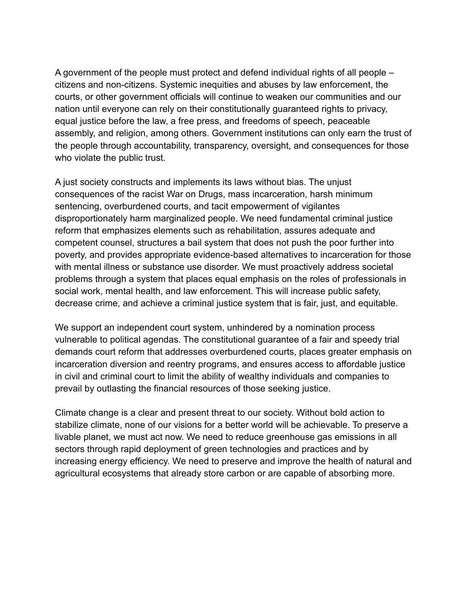A government of the people must protect and defend individual rights of all people – citizens and non-citizens. Systemic inequities and abuses by law enforcement, the courts, or other government officials will continue to weaken our communities and our nation until everyone can rely on their constitutionally guaranteed rights to privacy, equal justice before the law, a free press, and freedoms of speech, peaceable assembly, and religion, among others. Government institutions can only earn the trust of the people through accountability, transparency, oversight, and consequences for those who violate the public trust.

A just society constructs and implements its laws without bias. The unjust consequences of the racist War on Drugs, mass incarceration, harsh minimum sentencing, overburdened courts, and tacit empowerment of vigilantes disproportionately harm marginalized people. We need fundamental criminal justice reform that emphasizes elements such as rehabilitation, assures adequate and competent counsel, structures a bail system that does not push the poor further into poverty, and provides appropriate evidence-based alternatives to incarceration for those with mental illness or substance use disorder. We must proactively address societal problems through a system that places equal emphasis on the roles of professionals in social work, mental health, and law enforcement. This will increase public safety, decrease crime, and achieve a criminal justice system that is fair, just, and equitable.

We support an independent court system, unhindered by a nomination process vulnerable to political agendas. The constitutional guarantee of a fair and speedy trial demands court reform that addresses overburdened courts, places greater emphasis on incarceration diversion and reentry programs, and ensures access to affordable justice in civil and criminal court to limit the ability of wealthy individuals and companies to prevail by outlasting the financial resources of those seeking justice.

Climate change is a clear and present threat to our society. Without bold action to stabilize climate, none of our visions for a better world will be achievable. To preserve a livable planet, we must act now. We need to reduce greenhouse gas emissions in all sectors through rapid deployment of green technologies and practices and by increasing energy efficiency. We need to preserve and improve the health of natural and agricultural ecosystems that already store carbon or are capable of absorbing more.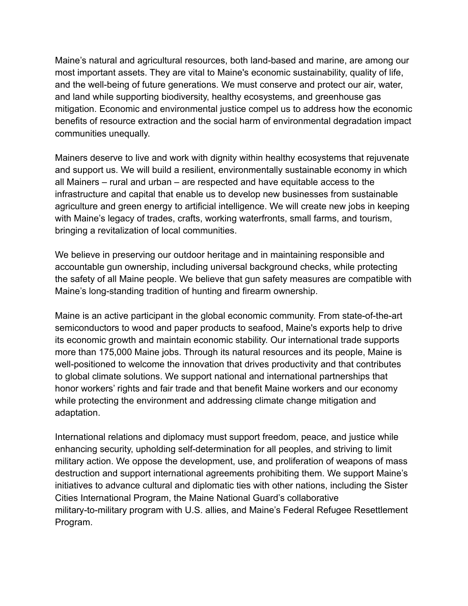Maine's natural and agricultural resources, both land-based and marine, are among our most important assets. They are vital to Maine's economic sustainability, quality of life, and the well-being of future generations. We must conserve and protect our air, water, and land while supporting biodiversity, healthy ecosystems, and greenhouse gas mitigation. Economic and environmental justice compel us to address how the economic benefits of resource extraction and the social harm of environmental degradation impact communities unequally.

Mainers deserve to live and work with dignity within healthy ecosystems that rejuvenate and support us. We will build a resilient, environmentally sustainable economy in which all Mainers – rural and urban – are respected and have equitable access to the infrastructure and capital that enable us to develop new businesses from sustainable agriculture and green energy to artificial intelligence. We will create new jobs in keeping with Maine's legacy of trades, crafts, working waterfronts, small farms, and tourism, bringing a revitalization of local communities.

We believe in preserving our outdoor heritage and in maintaining responsible and accountable gun ownership, including universal background checks, while protecting the safety of all Maine people. We believe that gun safety measures are compatible with Maine's long-standing tradition of hunting and firearm ownership.

Maine is an active participant in the global economic community. From state-of-the-art semiconductors to wood and paper products to seafood, Maine's exports help to drive its economic growth and maintain economic stability. Our international trade supports more than 175,000 Maine jobs. Through its natural resources and its people, Maine is well-positioned to welcome the innovation that drives productivity and that contributes to global climate solutions. We support national and international partnerships that honor workers' rights and fair trade and that benefit Maine workers and our economy while protecting the environment and addressing climate change mitigation and adaptation.

International relations and diplomacy must support freedom, peace, and justice while enhancing security, upholding self-determination for all peoples, and striving to limit military action. We oppose the development, use, and proliferation of weapons of mass destruction and support international agreements prohibiting them. We support Maine's initiatives to advance cultural and diplomatic ties with other nations, including the Sister Cities International Program, the Maine National Guard's collaborative military-to-military program with U.S. allies, and Maine's Federal Refugee Resettlement Program.